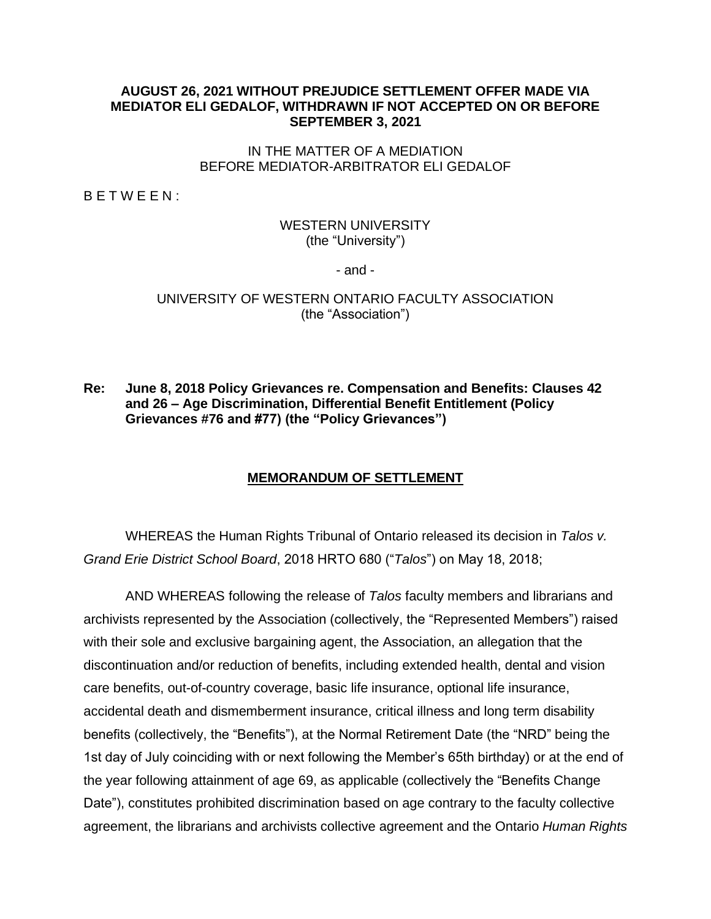#### **AUGUST 26, 2021 WITHOUT PREJUDICE SETTLEMENT OFFER MADE VIA MEDIATOR ELI GEDALOF, WITHDRAWN IF NOT ACCEPTED ON OR BEFORE SEPTEMBER 3, 2021**

#### IN THE MATTER OF A MEDIATION BEFORE MEDIATOR-ARBITRATOR ELI GEDALOF

B E T W E E N :

## WESTERN UNIVERSITY (the "University")

- and -

UNIVERSITY OF WESTERN ONTARIO FACULTY ASSOCIATION (the "Association")

### **Re: June 8, 2018 Policy Grievances re. Compensation and Benefits: Clauses 42 and 26 – Age Discrimination, Differential Benefit Entitlement (Policy Grievances #76 and #77) (the "Policy Grievances")**

## **MEMORANDUM OF SETTLEMENT**

WHEREAS the Human Rights Tribunal of Ontario released its decision in *Talos v. Grand Erie District School Board*, 2018 HRTO 680 ("*Talos*") on May 18, 2018;

AND WHEREAS following the release of *Talos* faculty members and librarians and archivists represented by the Association (collectively, the "Represented Members") raised with their sole and exclusive bargaining agent, the Association, an allegation that the discontinuation and/or reduction of benefits, including extended health, dental and vision care benefits, out-of-country coverage, basic life insurance, optional life insurance, accidental death and dismemberment insurance, critical illness and long term disability benefits (collectively, the "Benefits"), at the Normal Retirement Date (the "NRD" being the 1st day of July coinciding with or next following the Member's 65th birthday) or at the end of the year following attainment of age 69, as applicable (collectively the "Benefits Change Date"), constitutes prohibited discrimination based on age contrary to the faculty collective agreement, the librarians and archivists collective agreement and the Ontario *Human Rights*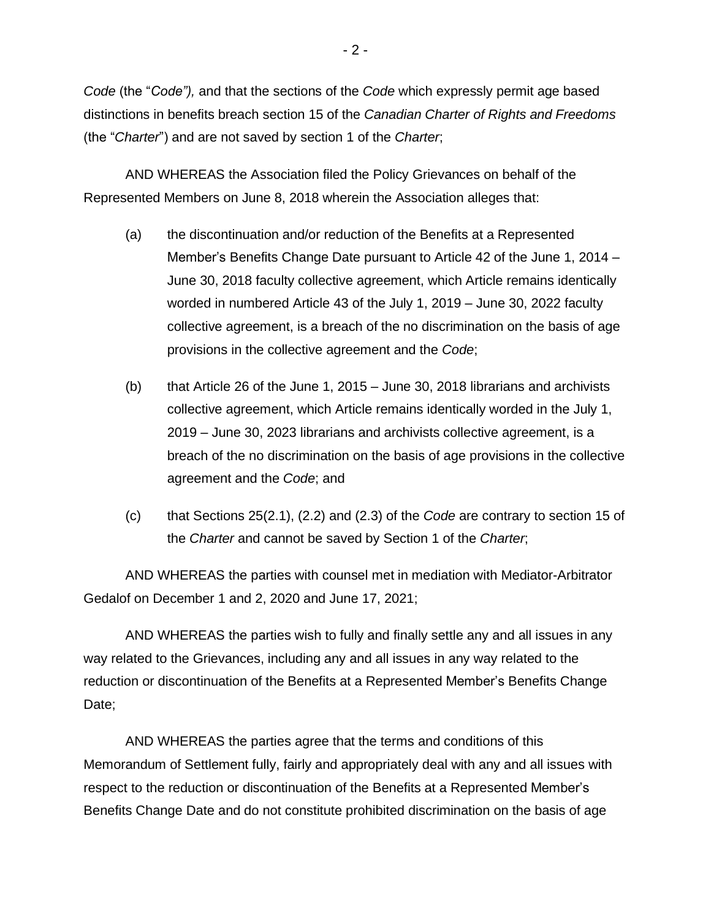*Code* (the "*Code"),* and that the sections of the *Code* which expressly permit age based distinctions in benefits breach section 15 of the *Canadian Charter of Rights and Freedoms*  (the "*Charter*") and are not saved by section 1 of the *Charter*;

AND WHEREAS the Association filed the Policy Grievances on behalf of the Represented Members on June 8, 2018 wherein the Association alleges that:

- (a) the discontinuation and/or reduction of the Benefits at a Represented Member's Benefits Change Date pursuant to Article 42 of the June 1, 2014 – June 30, 2018 faculty collective agreement, which Article remains identically worded in numbered Article 43 of the July 1, 2019 – June 30, 2022 faculty collective agreement, is a breach of the no discrimination on the basis of age provisions in the collective agreement and the *Code*;
- (b) that Article 26 of the June 1, 2015 June 30, 2018 librarians and archivists collective agreement, which Article remains identically worded in the July 1, 2019 – June 30, 2023 librarians and archivists collective agreement, is a breach of the no discrimination on the basis of age provisions in the collective agreement and the *Code*; and
- (c) that Sections 25(2.1), (2.2) and (2.3) of the *Code* are contrary to section 15 of the *Charter* and cannot be saved by Section 1 of the *Charter*;

AND WHEREAS the parties with counsel met in mediation with Mediator-Arbitrator Gedalof on December 1 and 2, 2020 and June 17, 2021;

AND WHEREAS the parties wish to fully and finally settle any and all issues in any way related to the Grievances, including any and all issues in any way related to the reduction or discontinuation of the Benefits at a Represented Member's Benefits Change Date;

AND WHEREAS the parties agree that the terms and conditions of this Memorandum of Settlement fully, fairly and appropriately deal with any and all issues with respect to the reduction or discontinuation of the Benefits at a Represented Member's Benefits Change Date and do not constitute prohibited discrimination on the basis of age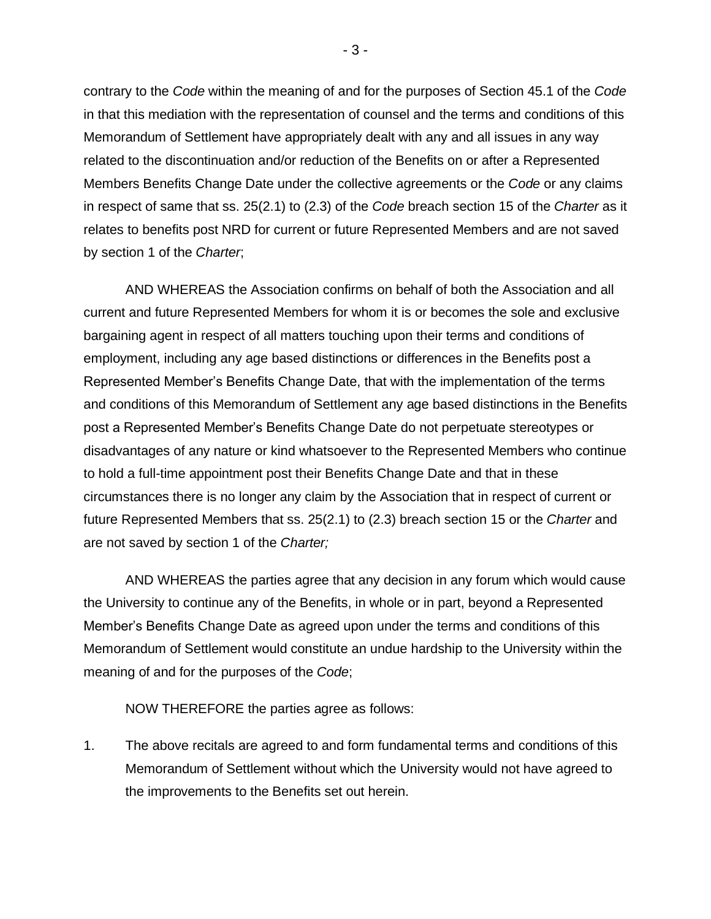contrary to the *Code* within the meaning of and for the purposes of Section 45.1 of the *Code* in that this mediation with the representation of counsel and the terms and conditions of this Memorandum of Settlement have appropriately dealt with any and all issues in any way related to the discontinuation and/or reduction of the Benefits on or after a Represented Members Benefits Change Date under the collective agreements or the *Code* or any claims in respect of same that ss. 25(2.1) to (2.3) of the *Code* breach section 15 of the *Charter* as it relates to benefits post NRD for current or future Represented Members and are not saved by section 1 of the *Charter*;

AND WHEREAS the Association confirms on behalf of both the Association and all current and future Represented Members for whom it is or becomes the sole and exclusive bargaining agent in respect of all matters touching upon their terms and conditions of employment, including any age based distinctions or differences in the Benefits post a Represented Member's Benefits Change Date, that with the implementation of the terms and conditions of this Memorandum of Settlement any age based distinctions in the Benefits post a Represented Member's Benefits Change Date do not perpetuate stereotypes or disadvantages of any nature or kind whatsoever to the Represented Members who continue to hold a full-time appointment post their Benefits Change Date and that in these circumstances there is no longer any claim by the Association that in respect of current or future Represented Members that ss. 25(2.1) to (2.3) breach section 15 or the *Charter* and are not saved by section 1 of the *Charter;*

AND WHEREAS the parties agree that any decision in any forum which would cause the University to continue any of the Benefits, in whole or in part, beyond a Represented Member's Benefits Change Date as agreed upon under the terms and conditions of this Memorandum of Settlement would constitute an undue hardship to the University within the meaning of and for the purposes of the *Code*;

NOW THEREFORE the parties agree as follows:

1. The above recitals are agreed to and form fundamental terms and conditions of this Memorandum of Settlement without which the University would not have agreed to the improvements to the Benefits set out herein.

- 3 -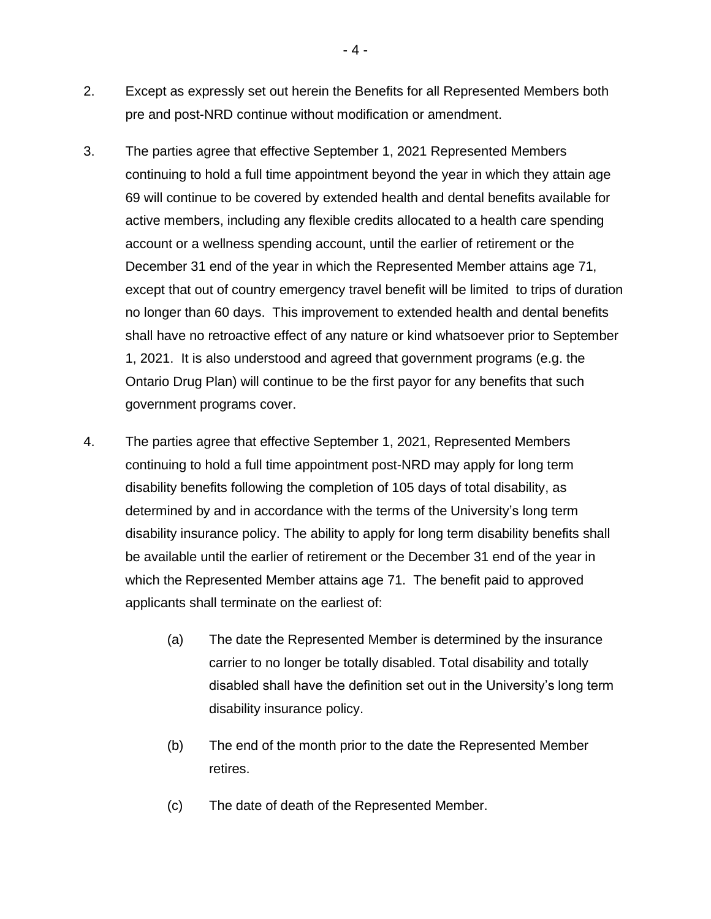- 2. Except as expressly set out herein the Benefits for all Represented Members both pre and post-NRD continue without modification or amendment.
- 3. The parties agree that effective September 1, 2021 Represented Members continuing to hold a full time appointment beyond the year in which they attain age 69 will continue to be covered by extended health and dental benefits available for active members, including any flexible credits allocated to a health care spending account or a wellness spending account, until the earlier of retirement or the December 31 end of the year in which the Represented Member attains age 71, except that out of country emergency travel benefit will be limited to trips of duration no longer than 60 days. This improvement to extended health and dental benefits shall have no retroactive effect of any nature or kind whatsoever prior to September 1, 2021. It is also understood and agreed that government programs (e.g. the Ontario Drug Plan) will continue to be the first payor for any benefits that such government programs cover.
- 4. The parties agree that effective September 1, 2021, Represented Members continuing to hold a full time appointment post-NRD may apply for long term disability benefits following the completion of 105 days of total disability, as determined by and in accordance with the terms of the University's long term disability insurance policy. The ability to apply for long term disability benefits shall be available until the earlier of retirement or the December 31 end of the year in which the Represented Member attains age 71. The benefit paid to approved applicants shall terminate on the earliest of:
	- (a) The date the Represented Member is determined by the insurance carrier to no longer be totally disabled. Total disability and totally disabled shall have the definition set out in the University's long term disability insurance policy.
	- (b) The end of the month prior to the date the Represented Member retires.
	- (c) The date of death of the Represented Member.

- 4 -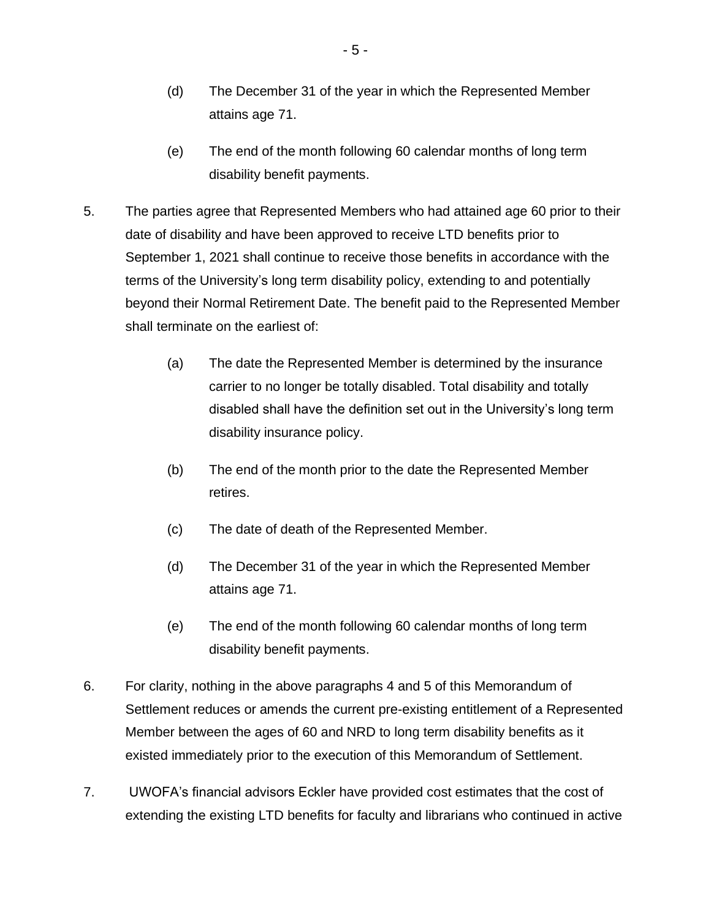- (d) The December 31 of the year in which the Represented Member attains age 71.
- (e) The end of the month following 60 calendar months of long term disability benefit payments.
- 5. The parties agree that Represented Members who had attained age 60 prior to their date of disability and have been approved to receive LTD benefits prior to September 1, 2021 shall continue to receive those benefits in accordance with the terms of the University's long term disability policy, extending to and potentially beyond their Normal Retirement Date. The benefit paid to the Represented Member shall terminate on the earliest of:
	- (a) The date the Represented Member is determined by the insurance carrier to no longer be totally disabled. Total disability and totally disabled shall have the definition set out in the University's long term disability insurance policy.
	- (b) The end of the month prior to the date the Represented Member retires.
	- (c) The date of death of the Represented Member.
	- (d) The December 31 of the year in which the Represented Member attains age 71.
	- (e) The end of the month following 60 calendar months of long term disability benefit payments.
- 6. For clarity, nothing in the above paragraphs 4 and 5 of this Memorandum of Settlement reduces or amends the current pre-existing entitlement of a Represented Member between the ages of 60 and NRD to long term disability benefits as it existed immediately prior to the execution of this Memorandum of Settlement.
- 7. UWOFA's financial advisors Eckler have provided cost estimates that the cost of extending the existing LTD benefits for faculty and librarians who continued in active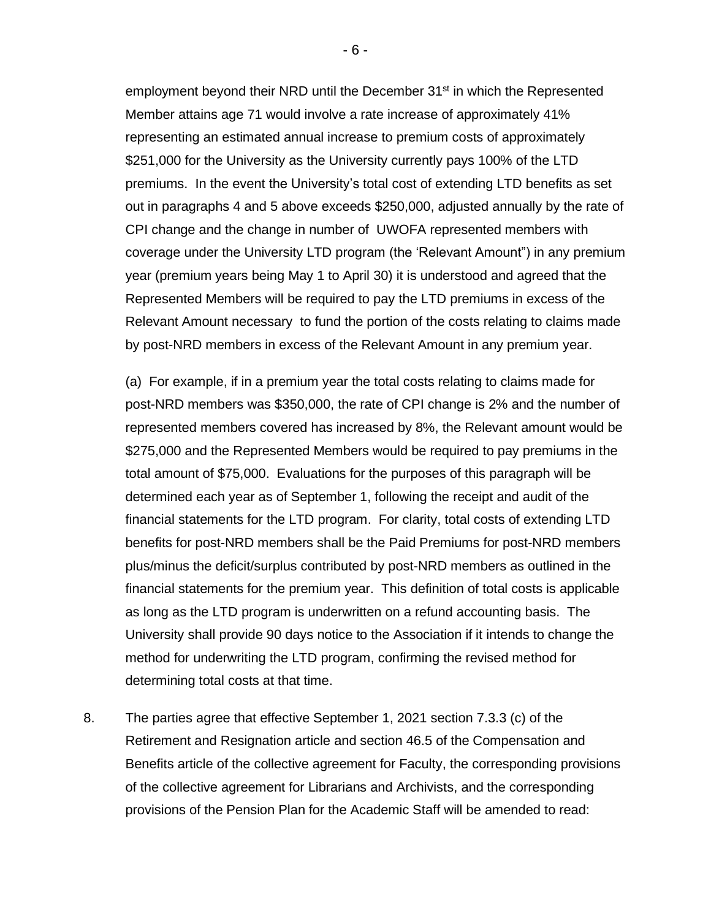employment beyond their NRD until the December  $31<sup>st</sup>$  in which the Represented Member attains age 71 would involve a rate increase of approximately 41% representing an estimated annual increase to premium costs of approximately \$251,000 for the University as the University currently pays 100% of the LTD premiums. In the event the University's total cost of extending LTD benefits as set out in paragraphs 4 and 5 above exceeds \$250,000, adjusted annually by the rate of CPI change and the change in number of UWOFA represented members with coverage under the University LTD program (the 'Relevant Amount") in any premium year (premium years being May 1 to April 30) it is understood and agreed that the Represented Members will be required to pay the LTD premiums in excess of the Relevant Amount necessary to fund the portion of the costs relating to claims made by post-NRD members in excess of the Relevant Amount in any premium year.

(a) For example, if in a premium year the total costs relating to claims made for post-NRD members was \$350,000, the rate of CPI change is 2% and the number of represented members covered has increased by 8%, the Relevant amount would be \$275,000 and the Represented Members would be required to pay premiums in the total amount of \$75,000. Evaluations for the purposes of this paragraph will be determined each year as of September 1, following the receipt and audit of the financial statements for the LTD program. For clarity, total costs of extending LTD benefits for post-NRD members shall be the Paid Premiums for post-NRD members plus/minus the deficit/surplus contributed by post-NRD members as outlined in the financial statements for the premium year. This definition of total costs is applicable as long as the LTD program is underwritten on a refund accounting basis. The University shall provide 90 days notice to the Association if it intends to change the method for underwriting the LTD program, confirming the revised method for determining total costs at that time.

8. The parties agree that effective September 1, 2021 section 7.3.3 (c) of the Retirement and Resignation article and section 46.5 of the Compensation and Benefits article of the collective agreement for Faculty, the corresponding provisions of the collective agreement for Librarians and Archivists, and the corresponding provisions of the Pension Plan for the Academic Staff will be amended to read:

- 6 -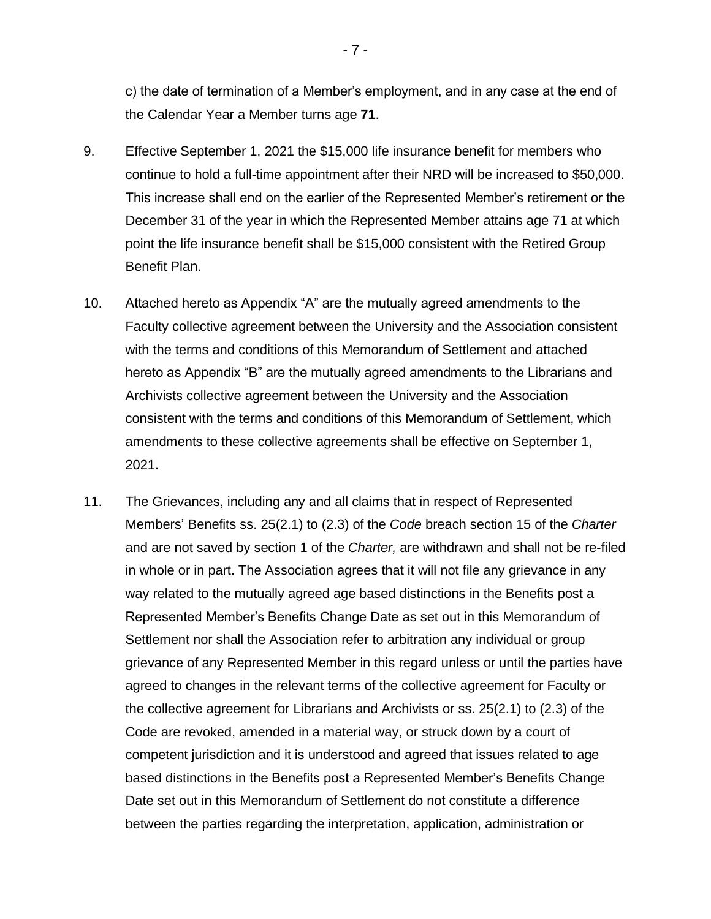c) the date of termination of a Member's employment, and in any case at the end of the Calendar Year a Member turns age **71**.

- 9. Effective September 1, 2021 the \$15,000 life insurance benefit for members who continue to hold a full-time appointment after their NRD will be increased to \$50,000. This increase shall end on the earlier of the Represented Member's retirement or the December 31 of the year in which the Represented Member attains age 71 at which point the life insurance benefit shall be \$15,000 consistent with the Retired Group Benefit Plan.
- 10. Attached hereto as Appendix "A" are the mutually agreed amendments to the Faculty collective agreement between the University and the Association consistent with the terms and conditions of this Memorandum of Settlement and attached hereto as Appendix "B" are the mutually agreed amendments to the Librarians and Archivists collective agreement between the University and the Association consistent with the terms and conditions of this Memorandum of Settlement, which amendments to these collective agreements shall be effective on September 1, 2021.
- 11. The Grievances, including any and all claims that in respect of Represented Members' Benefits ss. 25(2.1) to (2.3) of the *Code* breach section 15 of the *Charter* and are not saved by section 1 of the *Charter,* are withdrawn and shall not be re-filed in whole or in part. The Association agrees that it will not file any grievance in any way related to the mutually agreed age based distinctions in the Benefits post a Represented Member's Benefits Change Date as set out in this Memorandum of Settlement nor shall the Association refer to arbitration any individual or group grievance of any Represented Member in this regard unless or until the parties have agreed to changes in the relevant terms of the collective agreement for Faculty or the collective agreement for Librarians and Archivists or ss. 25(2.1) to (2.3) of the Code are revoked, amended in a material way, or struck down by a court of competent jurisdiction and it is understood and agreed that issues related to age based distinctions in the Benefits post a Represented Member's Benefits Change Date set out in this Memorandum of Settlement do not constitute a difference between the parties regarding the interpretation, application, administration or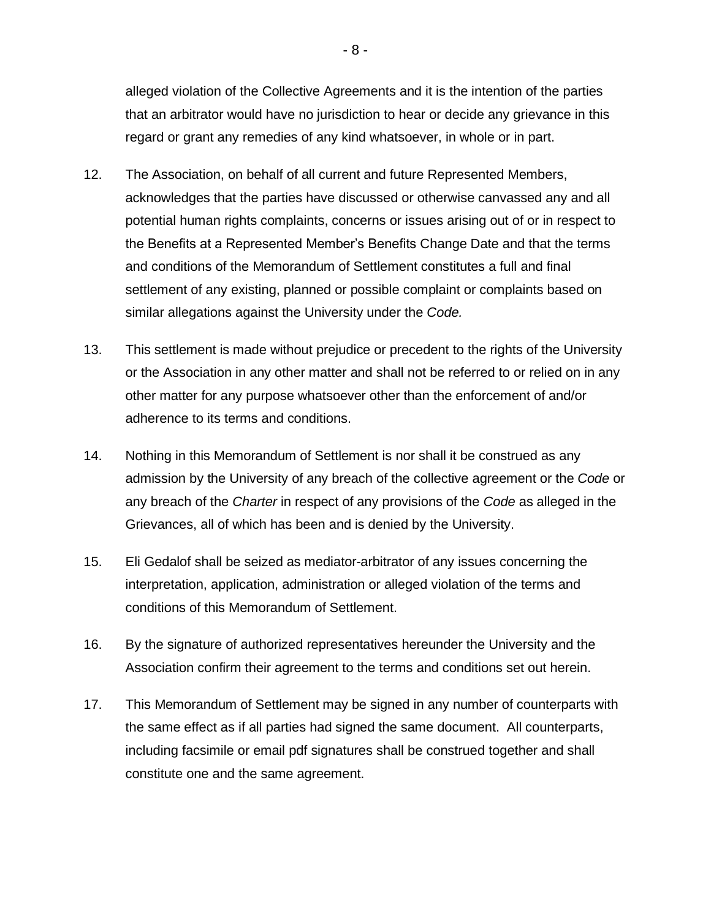alleged violation of the Collective Agreements and it is the intention of the parties that an arbitrator would have no jurisdiction to hear or decide any grievance in this regard or grant any remedies of any kind whatsoever, in whole or in part.

- 12. The Association, on behalf of all current and future Represented Members, acknowledges that the parties have discussed or otherwise canvassed any and all potential human rights complaints, concerns or issues arising out of or in respect to the Benefits at a Represented Member's Benefits Change Date and that the terms and conditions of the Memorandum of Settlement constitutes a full and final settlement of any existing, planned or possible complaint or complaints based on similar allegations against the University under the *Code.*
- 13. This settlement is made without prejudice or precedent to the rights of the University or the Association in any other matter and shall not be referred to or relied on in any other matter for any purpose whatsoever other than the enforcement of and/or adherence to its terms and conditions.
- 14. Nothing in this Memorandum of Settlement is nor shall it be construed as any admission by the University of any breach of the collective agreement or the *Code* or any breach of the *Charter* in respect of any provisions of the *Code* as alleged in the Grievances, all of which has been and is denied by the University.
- 15. Eli Gedalof shall be seized as mediator-arbitrator of any issues concerning the interpretation, application, administration or alleged violation of the terms and conditions of this Memorandum of Settlement.
- 16. By the signature of authorized representatives hereunder the University and the Association confirm their agreement to the terms and conditions set out herein.
- 17. This Memorandum of Settlement may be signed in any number of counterparts with the same effect as if all parties had signed the same document. All counterparts, including facsimile or email pdf signatures shall be construed together and shall constitute one and the same agreement.